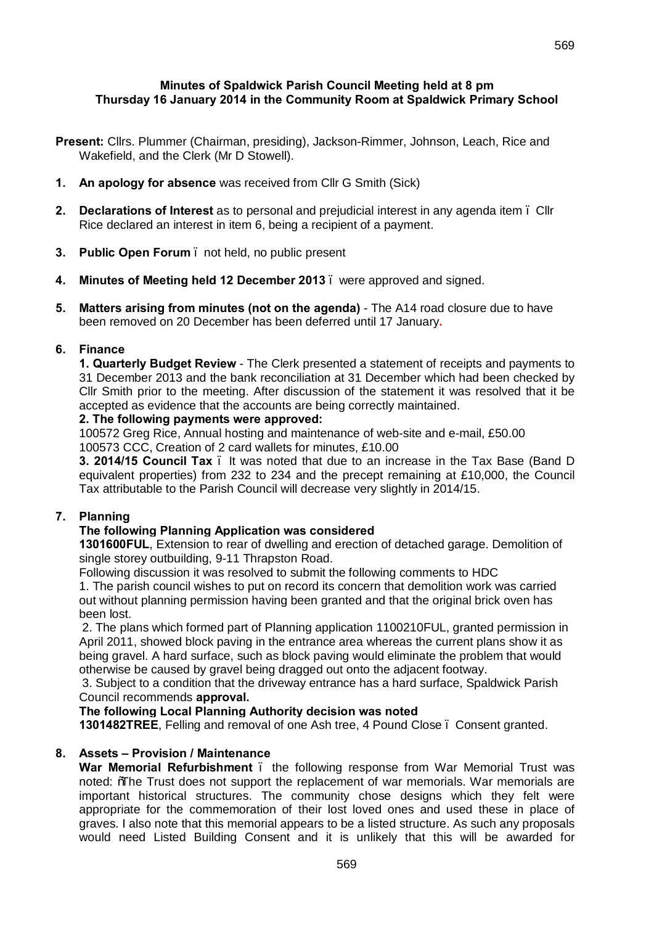## **Minutes of Spaldwick Parish Council Meeting held at 8 pm Thursday 16 January 2014 in the Community Room at Spaldwick Primary School**

- **Present:** Cllrs. Plummer (Chairman, presiding), Jackson-Rimmer, Johnson, Leach, Rice and Wakefield, and the Clerk (Mr D Stowell).
- **1. An apology for absence** was received from Cllr G Smith (Sick)
- **2. Declarations of Interest** as to personal and prejudicial interest in any agenda item Cllr Rice declared an interest in item 6, being a recipient of a payment.
- **3. Public Open Forum**  not held, no public present
- **4. Minutes of Meeting held 12 December 2013**  were approved and signed.
- **5. Matters arising from minutes (not on the agenda)**  The A14 road closure due to have been removed on 20 December has been deferred until 17 January**.**

#### **6. Finance**

**1. Quarterly Budget Review** - The Clerk presented a statement of receipts and payments to 31 December 2013 and the bank reconciliation at 31 December which had been checked by Cllr Smith prior to the meeting. After discussion of the statement it was resolved that it be accepted as evidence that the accounts are being correctly maintained.

#### **2. The following payments were approved:**

100572 Greg Rice, Annual hosting and maintenance of web-site and e-mail, £50.00 100573 CCC, Creation of 2 card wallets for minutes, £10.00

**3. 2014/15 Council Tax** – It was noted that due to an increase in the Tax Base (Band D equivalent properties) from 232 to 234 and the precept remaining at £10,000, the Council Tax attributable to the Parish Council will decrease very slightly in 2014/15.

## **7. Planning**

## **The following Planning Application was considered**

**1301600FUL**, Extension to rear of dwelling and erection of detached garage. Demolition of single storey outbuilding, 9-11 Thrapston Road.

Following discussion it was resolved to submit the following comments to HDC

1. The parish council wishes to put on record its concern that demolition work was carried out without planning permission having been granted and that the original brick oven has been lost.

2. The plans which formed part of Planning application 1100210FUL, granted permission in April 2011, showed block paving in the entrance area whereas the current plans show it as being gravel. A hard surface, such as block paving would eliminate the problem that would otherwise be caused by gravel being dragged out onto the adjacent footway.

3. Subject to a condition that the driveway entrance has a hard surface, Spaldwick Parish Council recommends **approval.**

#### **The following Local Planning Authority decision was noted**

**1301482TREE**, Felling and removal of one Ash tree, 4 Pound Close – Consent granted.

## **8. Assets – Provision / Maintenance**

**War Memorial Refurbishment** – the following response from War Memorial Trust was noted: %The Trust does not support the replacement of war memorials. War memorials are important historical structures. The community chose designs which they felt were appropriate for the commemoration of their lost loved ones and used these in place of graves. I also note that this memorial appears to be a listed structure. As such any proposals would need Listed Building Consent and it is unlikely that this will be awarded for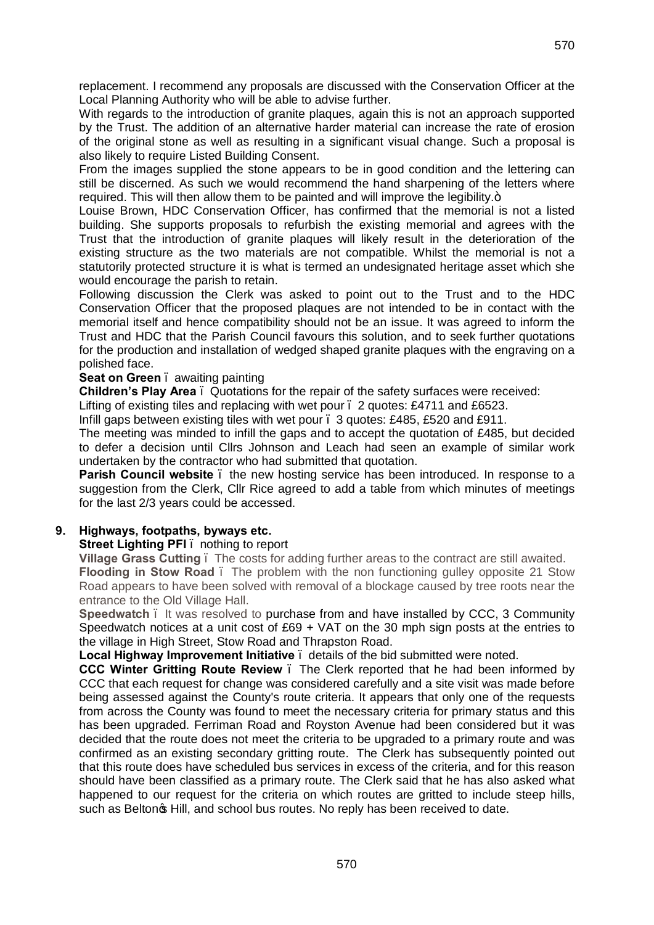replacement. I recommend any proposals are discussed with the Conservation Officer at the Local Planning Authority who will be able to advise further.

With regards to the introduction of granite plaques, again this is not an approach supported by the Trust. The addition of an alternative harder material can increase the rate of erosion of the original stone as well as resulting in a significant visual change. Such a proposal is also likely to require Listed Building Consent.

From the images supplied the stone appears to be in good condition and the lettering can still be discerned. As such we would recommend the hand sharpening of the letters where required. This will then allow them to be painted and will improve the legibility. $+$ 

Louise Brown, HDC Conservation Officer, has confirmed that the memorial is not a listed building. She supports proposals to refurbish the existing memorial and agrees with the Trust that the introduction of granite plaques will likely result in the deterioration of the existing structure as the two materials are not compatible. Whilst the memorial is not a statutorily protected structure it is what is termed an undesignated heritage asset which she would encourage the parish to retain.

Following discussion the Clerk was asked to point out to the Trust and to the HDC Conservation Officer that the proposed plaques are not intended to be in contact with the memorial itself and hence compatibility should not be an issue. It was agreed to inform the Trust and HDC that the Parish Council favours this solution, and to seek further quotations for the production and installation of wedged shaped granite plaques with the engraving on a polished face.

## **Seat on Green** . awaiting painting

**Children's Play Area** – Quotations for the repair of the safety surfaces were received:

Lifting of existing tiles and replacing with wet pour . 2 quotes: £4711 and £6523.

Infill gaps between existing tiles with wet pour – 3 quotes: £485, £520 and £911.

The meeting was minded to infill the gaps and to accept the quotation of £485, but decided to defer a decision until Cllrs Johnson and Leach had seen an example of similar work undertaken by the contractor who had submitted that quotation.

**Parish Council website** . the new hosting service has been introduced. In response to a suggestion from the Clerk, Cllr Rice agreed to add a table from which minutes of meetings for the last 2/3 years could be accessed.

## **9. Highways, footpaths, byways etc.**

## **Street Lighting PFI** – nothing to report

**Village Grass Cutting** – The costs for adding further areas to the contract are still awaited. **Flooding in Stow Road**. The problem with the non functioning gulley opposite 21 Stow Road appears to have been solved with removal of a blockage caused by tree roots near the entrance to the Old Village Hall.

**Speedwatch** – It was resolved to purchase from and have installed by CCC, 3 Community Speedwatch notices at a unit cost of £69 + VAT on the 30 mph sign posts at the entries to the village in High Street, Stow Road and Thrapston Road.

**Local Highway Improvement Initiative** – details of the bid submitted were noted.

**CCC Winter Gritting Route Review** – The Clerk reported that he had been informed by CCC that each request for change was considered carefully and a site visit was made before being assessed against the County's route criteria. It appears that only one of the requests from across the County was found to meet the necessary criteria for primary status and this has been upgraded. Ferriman Road and Royston Avenue had been considered but it was decided that the route does not meet the criteria to be upgraded to a primary route and was confirmed as an existing secondary gritting route. The Clerk has subsequently pointed out that this route does have scheduled bus services in excess of the criteria, and for this reason should have been classified as a primary route. The Clerk said that he has also asked what happened to our request for the criteria on which routes are gritted to include steep hills, such as Belton $\infty$  Hill, and school bus routes. No reply has been received to date.